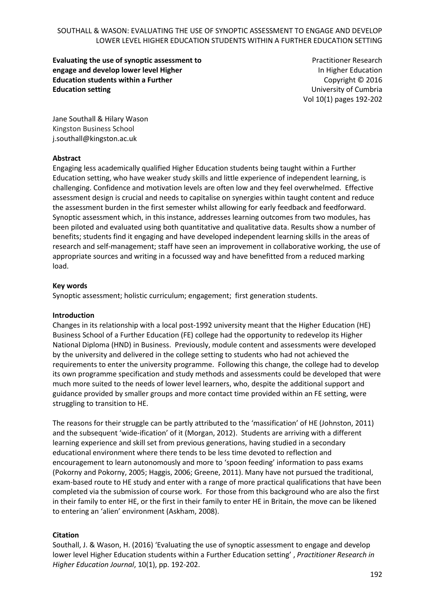**Evaluating the use of synoptic assessment to engage and develop lower level Higher Education students within a Further Education setting**

Practitioner Research In Higher Education Copyright © 2016 University of Cumbria Vol 10(1) pages 192-202

Jane Southall & Hilary Wason Kingston Business School j.southall@kingston.ac.uk

### **Abstract**

Engaging less academically qualified Higher Education students being taught within a Further Education setting, who have weaker study skills and little experience of independent learning, is challenging. Confidence and motivation levels are often low and they feel overwhelmed. Effective assessment design is crucial and needs to capitalise on synergies within taught content and reduce the assessment burden in the first semester whilst allowing for early feedback and feedforward. Synoptic assessment which, in this instance, addresses learning outcomes from two modules, has been piloted and evaluated using both quantitative and qualitative data. Results show a number of benefits; students find it engaging and have developed independent learning skills in the areas of research and self-management; staff have seen an improvement in collaborative working, the use of appropriate sources and writing in a focussed way and have benefitted from a reduced marking load.

### **Key words**

Synoptic assessment; holistic curriculum; engagement; first generation students.

### **Introduction**

Changes in its relationship with a local post-1992 university meant that the Higher Education (HE) Business School of a Further Education (FE) college had the opportunity to redevelop its Higher National Diploma (HND) in Business. Previously, module content and assessments were developed by the university and delivered in the college setting to students who had not achieved the requirements to enter the university programme. Following this change, the college had to develop its own programme specification and study methods and assessments could be developed that were much more suited to the needs of lower level learners, who, despite the additional support and guidance provided by smaller groups and more contact time provided within an FE setting, were struggling to transition to HE.

The reasons for their struggle can be partly attributed to the 'massification' of HE (Johnston, 2011) and the subsequent 'wide-ification' of it (Morgan, 2012). Students are arriving with a different learning experience and skill set from previous generations, having studied in a secondary educational environment where there tends to be less time devoted to reflection and encouragement to learn autonomously and more to 'spoon feeding' information to pass exams (Pokorny and Pokorny, 2005; Haggis, 2006; Greene, 2011). Many have not pursued the traditional, exam-based route to HE study and enter with a range of more practical qualifications that have been completed via the submission of course work. For those from this background who are also the first in their family to enter HE, or the first in their family to enter HE in Britain, the move can be likened to entering an 'alien' environment (Askham, 2008).

### **Citation**

Southall, J. & Wason, H. (2016) 'Evaluating the use of synoptic assessment to engage and develop lower level Higher Education students within a Further Education setting' , *Practitioner Research in Higher Education Journal*, 10(1), pp. 192-202.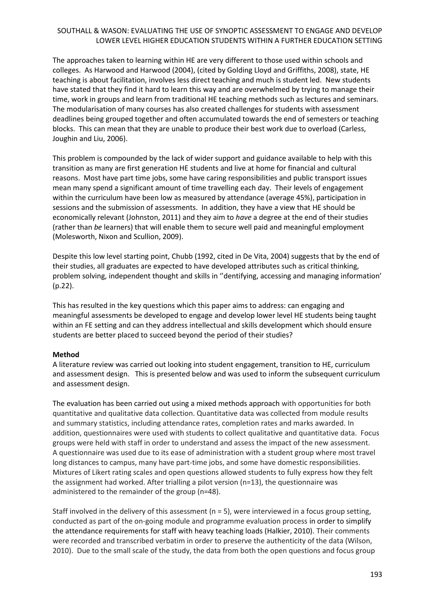The approaches taken to learning within HE are very different to those used within schools and colleges. As Harwood and Harwood (2004), (cited by Golding Lloyd and Griffiths, 2008), state, HE teaching is about facilitation, involves less direct teaching and much is student led. New students have stated that they find it hard to learn this way and are overwhelmed by trying to manage their time, work in groups and learn from traditional HE teaching methods such as lectures and seminars. The modularisation of many courses has also created challenges for students with assessment deadlines being grouped together and often accumulated towards the end of semesters or teaching blocks. This can mean that they are unable to produce their best work due to overload (Carless, Joughin and Liu, 2006).

This problem is compounded by the lack of wider support and guidance available to help with this transition as many are first generation HE students and live at home for financial and cultural reasons. Most have part time jobs, some have caring responsibilities and public transport issues mean many spend a significant amount of time travelling each day. Their levels of engagement within the curriculum have been low as measured by attendance (average 45%), participation in sessions and the submission of assessments. In addition, they have a view that HE should be economically relevant (Johnston, 2011) and they aim to *have* a degree at the end of their studies (rather than *be* learners) that will enable them to secure well paid and meaningful employment (Molesworth, Nixon and Scullion, 2009).

Despite this low level starting point, Chubb (1992, cited in De Vita, 2004) suggests that by the end of their studies, all graduates are expected to have developed attributes such as critical thinking, problem solving, independent thought and skills in ''dentifying, accessing and managing information' (p.22).

This has resulted in the key questions which this paper aims to address: can engaging and meaningful assessments be developed to engage and develop lower level HE students being taught within an FE setting and can they address intellectual and skills development which should ensure students are better placed to succeed beyond the period of their studies?

### **Method**

A literature review was carried out looking into student engagement, transition to HE, curriculum and assessment design. This is presented below and was used to inform the subsequent curriculum and assessment design.

The evaluation has been carried out using a mixed methods approach with opportunities for both quantitative and qualitative data collection. Quantitative data was collected from module results and summary statistics, including attendance rates, completion rates and marks awarded. In addition, questionnaires were used with students to collect qualitative and quantitative data. Focus groups were held with staff in order to understand and assess the impact of the new assessment. A questionnaire was used due to its ease of administration with a student group where most travel long distances to campus, many have part-time jobs, and some have domestic responsibilities. Mixtures of Likert rating scales and open questions allowed students to fully express how they felt the assignment had worked. After trialling a pilot version (n=13), the questionnaire was administered to the remainder of the group (n=48).

Staff involved in the delivery of this assessment  $(n = 5)$ , were interviewed in a focus group setting, conducted as part of the on-going module and programme evaluation process in order to simplify the attendance requirements for staff with heavy teaching loads (Halkier, 2010). Their comments were recorded and transcribed verbatim in order to preserve the authenticity of the data (Wilson, 2010). Due to the small scale of the study, the data from both the open questions and focus group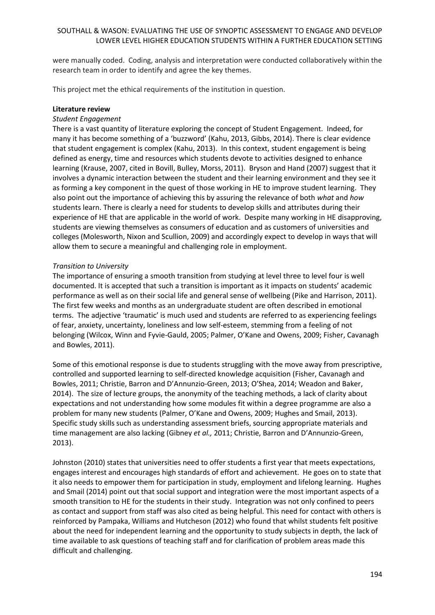were manually coded. Coding, analysis and interpretation were conducted collaboratively within the research team in order to identify and agree the key themes.

This project met the ethical requirements of the institution in question.

### **Literature review**

### *Student Engagement*

There is a vast quantity of literature exploring the concept of Student Engagement. Indeed, for many it has become something of a 'buzzword' (Kahu, 2013, Gibbs, 2014). There is clear evidence that student engagement is complex (Kahu, 2013). In this context, student engagement is being defined as energy, time and resources which students devote to activities designed to enhance learning (Krause, 2007, cited in Bovill, Bulley, Morss, 2011). Bryson and Hand (2007) suggest that it involves a dynamic interaction between the student and their learning environment and they see it as forming a key component in the quest of those working in HE to improve student learning. They also point out the importance of achieving this by assuring the relevance of both *what* and *how* students learn. There is clearly a need for students to develop skills and attributes during their experience of HE that are applicable in the world of work. Despite many working in HE disapproving, students are viewing themselves as consumers of education and as customers of universities and colleges (Molesworth, Nixon and Scullion, 2009) and accordingly expect to develop in ways that will allow them to secure a meaningful and challenging role in employment.

#### *Transition to University*

The importance of ensuring a smooth transition from studying at level three to level four is well documented. It is accepted that such a transition is important as it impacts on students' academic performance as well as on their social life and general sense of wellbeing (Pike and Harrison, 2011). The first few weeks and months as an undergraduate student are often described in emotional terms. The adjective 'traumatic' is much used and students are referred to as experiencing feelings of fear, anxiety, uncertainty, loneliness and low self-esteem, stemming from a feeling of not belonging (Wilcox, Winn and Fyvie-Gauld, 2005; Palmer, O'Kane and Owens, 2009; Fisher, Cavanagh and Bowles, 2011).

Some of this emotional response is due to students struggling with the move away from prescriptive, controlled and supported learning to self-directed knowledge acquisition (Fisher, Cavanagh and Bowles, 2011; Christie, Barron and D'Annunzio-Green, 2013; O'Shea, 2014; Weadon and Baker, 2014). The size of lecture groups, the anonymity of the teaching methods, a lack of clarity about expectations and not understanding how some modules fit within a degree programme are also a problem for many new students (Palmer, O'Kane and Owens, 2009; Hughes and Smail, 2013). Specific study skills such as understanding assessment briefs, sourcing appropriate materials and time management are also lacking (Gibney *et al.,* 2011; Christie, Barron and D'Annunzio-Green, 2013).

Johnston (2010) states that universities need to offer students a first year that meets expectations, engages interest and encourages high standards of effort and achievement. He goes on to state that it also needs to empower them for participation in study, employment and lifelong learning. Hughes and Smail (2014) point out that social support and integration were the most important aspects of a smooth transition to HE for the students in their study. Integration was not only confined to peers as contact and support from staff was also cited as being helpful. This need for contact with others is reinforced by Pampaka, Williams and Hutcheson (2012) who found that whilst students felt positive about the need for independent learning and the opportunity to study subjects in depth, the lack of time available to ask questions of teaching staff and for clarification of problem areas made this difficult and challenging.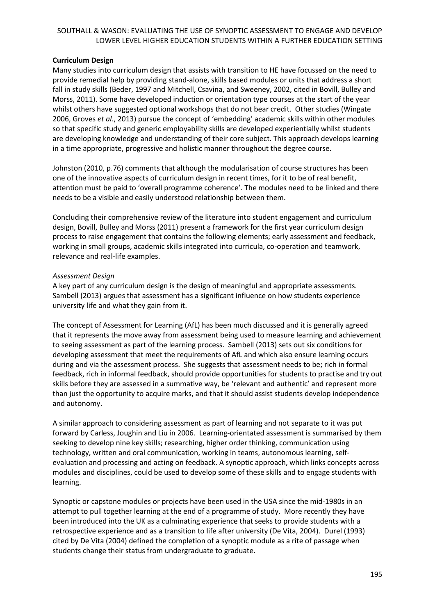### **Curriculum Design**

Many studies into curriculum design that assists with transition to HE have focussed on the need to provide remedial help by providing stand-alone, skills based modules or units that address a short fall in study skills (Beder, 1997 and Mitchell, Csavina, and Sweeney, 2002, cited in Bovill, Bulley and Morss, 2011). Some have developed induction or orientation type courses at the start of the year whilst others have suggested optional workshops that do not bear credit. Other studies (Wingate 2006, Groves *et al*., 2013) pursue the concept of 'embedding' academic skills within other modules so that specific study and generic employability skills are developed experientially whilst students are developing knowledge and understanding of their core subject. This approach develops learning in a time appropriate, progressive and holistic manner throughout the degree course.

Johnston (2010, p.76) comments that although the modularisation of course structures has been one of the innovative aspects of curriculum design in recent times, for it to be of real benefit, attention must be paid to 'overall programme coherence'. The modules need to be linked and there needs to be a visible and easily understood relationship between them.

Concluding their comprehensive review of the literature into student engagement and curriculum design, Bovill, Bulley and Morss (2011) present a framework for the first year curriculum design process to raise engagement that contains the following elements; early assessment and feedback, working in small groups, academic skills integrated into curricula, co-operation and teamwork, relevance and real-life examples.

## *Assessment Design*

A key part of any curriculum design is the design of meaningful and appropriate assessments. Sambell (2013) argues that assessment has a significant influence on how students experience university life and what they gain from it.

The concept of Assessment for Learning (AfL) has been much discussed and it is generally agreed that it represents the move away from assessment being used to measure learning and achievement to seeing assessment as part of the learning process. Sambell (2013) sets out six conditions for developing assessment that meet the requirements of AfL and which also ensure learning occurs during and via the assessment process. She suggests that assessment needs to be; rich in formal feedback, rich in informal feedback, should provide opportunities for students to practise and try out skills before they are assessed in a summative way, be 'relevant and authentic' and represent more than just the opportunity to acquire marks, and that it should assist students develop independence and autonomy.

A similar approach to considering assessment as part of learning and not separate to it was put forward by Carless, Joughin and Liu in 2006. Learning-orientated assessment is summarised by them seeking to develop nine key skills; researching, higher order thinking, communication using technology, written and oral communication, working in teams, autonomous learning, selfevaluation and processing and acting on feedback. A synoptic approach, which links concepts across modules and disciplines, could be used to develop some of these skills and to engage students with learning.

Synoptic or capstone modules or projects have been used in the USA since the mid-1980s in an attempt to pull together learning at the end of a programme of study. More recently they have been introduced into the UK as a culminating experience that seeks to provide students with a retrospective experience and as a transition to life after university (De Vita, 2004). Durel (1993) cited by De Vita (2004) defined the completion of a synoptic module as a rite of passage when students change their status from undergraduate to graduate.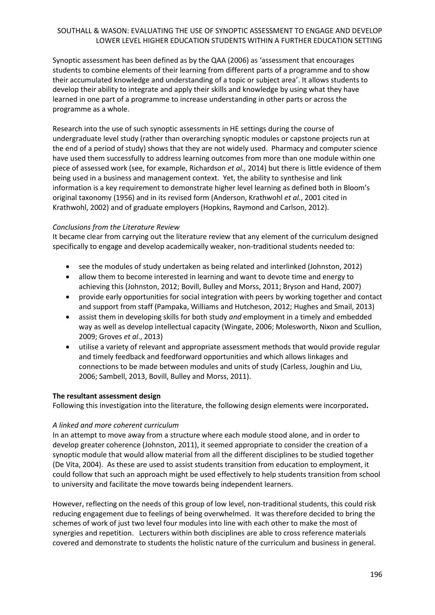Synoptic assessment has been defined as by the QAA (2006) as 'assessment that encourages students to combine elements of their learning from different parts of a programme and to show their accumulated knowledge and understanding of a topic or subject area'. It allows students to develop their ability to integrate and apply their skills and knowledge by using what they have learned in one part of a programme to increase understanding in other parts or across the programme as a whole.

Research into the use of such synoptic assessments in HE settings during the course of undergraduate level study (rather than overarching synoptic modules or capstone projects run at the end of a period of study) shows that they are not widely used. Pharmacy and computer science have used them successfully to address learning outcomes from more than one module within one piece of assessed work (see, for example, Richardson *et al.,* 2014) but there is little evidence of them being used in a business and management context. Yet, the ability to synthesise and link information is a key requirement to demonstrate higher level learning as defined both in Bloom's original taxonomy (1956) and in its revised form (Anderson, Krathwohl *et al.*, 2001 cited in Krathwohl, 2002) and of graduate employers (Hopkins, Raymond and Carlson, 2012).

# *Conclusions from the Literature Review*

It became clear from carrying out the literature review that any element of the curriculum designed specifically to engage and develop academically weaker, non-traditional students needed to:

- see the modules of study undertaken as being related and interlinked (Johnston, 2012)
- allow them to become interested in learning and want to devote time and energy to achieving this (Johnston, 2012; Bovill, Bulley and Morss, 2011; Bryson and Hand, 2007)
- provide early opportunities for social integration with peers by working together and contact and support from staff (Pampaka, Williams and Hutcheson, 2012; Hughes and Smail, 2013)
- assist them in developing skills for both study *and* employment in a timely and embedded way as well as develop intellectual capacity (Wingate, 2006; Molesworth, Nixon and Scullion, 2009; Groves *et al*., 2013)
- utilise a variety of relevant and appropriate assessment methods that would provide regular and timely feedback and feedforward opportunities and which allows linkages and connections to be made between modules and units of study (Carless, Joughin and Liu, 2006; Sambell, 2013, Bovill, Bulley and Morss, 2011).

# **The resultant assessment design**

Following this investigation into the literature, the following design elements were incorporated**.**

# *A linked and more coherent curriculum*

In an attempt to move away from a structure where each module stood alone, and in order to develop greater coherence (Johnston, 2011), it seemed appropriate to consider the creation of a synoptic module that would allow material from all the different disciplines to be studied together (De Vita, 2004). As these are used to assist students transition from education to employment, it could follow that such an approach might be used effectively to help students transition from school to university and facilitate the move towards being independent learners.

However, reflecting on the needs of this group of low level, non-traditional students, this could risk reducing engagement due to feelings of being overwhelmed. It was therefore decided to bring the schemes of work of just two level four modules into line with each other to make the most of synergies and repetition. Lecturers within both disciplines are able to cross reference materials covered and demonstrate to students the holistic nature of the curriculum and business in general.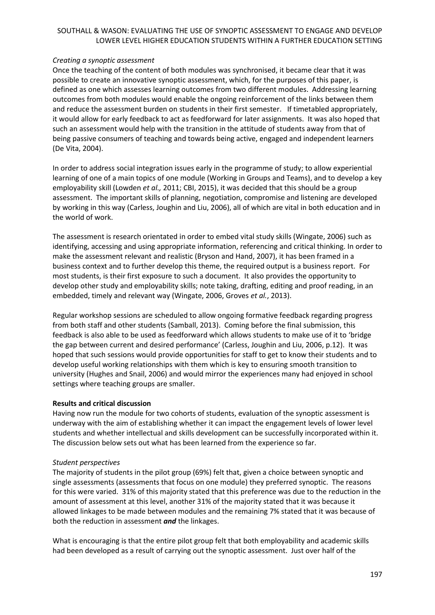### *Creating a synoptic assessment*

Once the teaching of the content of both modules was synchronised, it became clear that it was possible to create an innovative synoptic assessment, which, for the purposes of this paper, is defined as one which assesses learning outcomes from two different modules. Addressing learning outcomes from both modules would enable the ongoing reinforcement of the links between them and reduce the assessment burden on students in their first semester. If timetabled appropriately, it would allow for early feedback to act as feedforward for later assignments. It was also hoped that such an assessment would help with the transition in the attitude of students away from that of being passive consumers of teaching and towards being active, engaged and independent learners (De Vita, 2004).

In order to address social integration issues early in the programme of study; to allow experiential learning of one of a main topics of one module (Working in Groups and Teams), and to develop a key employability skill (Lowden *et al.,* 2011; CBI, 2015), it was decided that this should be a group assessment. The important skills of planning, negotiation, compromise and listening are developed by working in this way (Carless, Joughin and Liu, 2006), all of which are vital in both education and in the world of work.

The assessment is research orientated in order to embed vital study skills (Wingate, 2006) such as identifying, accessing and using appropriate information, referencing and critical thinking. In order to make the assessment relevant and realistic (Bryson and Hand, 2007), it has been framed in a business context and to further develop this theme, the required output is a business report. For most students, is their first exposure to such a document. It also provides the opportunity to develop other study and employability skills; note taking, drafting, editing and proof reading, in an embedded, timely and relevant way (Wingate, 2006, Groves *et al.*, 2013).

Regular workshop sessions are scheduled to allow ongoing formative feedback regarding progress from both staff and other students (Samball, 2013). Coming before the final submission, this feedback is also able to be used as feedforward which allows students to make use of it to 'bridge the gap between current and desired performance' (Carless, Joughin and Liu, 2006, p.12). It was hoped that such sessions would provide opportunities for staff to get to know their students and to develop useful working relationships with them which is key to ensuring smooth transition to university (Hughes and Snail, 2006) and would mirror the experiences many had enjoyed in school settings where teaching groups are smaller.

### **Results and critical discussion**

Having now run the module for two cohorts of students, evaluation of the synoptic assessment is underway with the aim of establishing whether it can impact the engagement levels of lower level students and whether intellectual and skills development can be successfully incorporated within it. The discussion below sets out what has been learned from the experience so far.

### *Student perspectives*

The majority of students in the pilot group (69%) felt that, given a choice between synoptic and single assessments (assessments that focus on one module) they preferred synoptic. The reasons for this were varied. 31% of this majority stated that this preference was due to the reduction in the amount of assessment at this level, another 31% of the majority stated that it was because it allowed linkages to be made between modules and the remaining 7% stated that it was because of both the reduction in assessment *and* the linkages.

What is encouraging is that the entire pilot group felt that both employability and academic skills had been developed as a result of carrying out the synoptic assessment. Just over half of the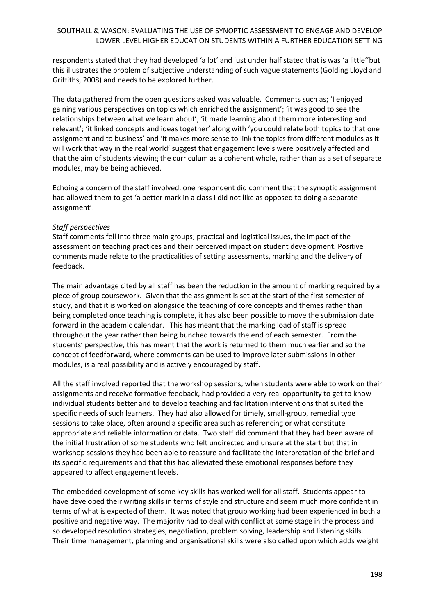respondents stated that they had developed 'a lot' and just under half stated that is was 'a little''but this illustrates the problem of subjective understanding of such vague statements (Golding Lloyd and Griffiths, 2008) and needs to be explored further.

The data gathered from the open questions asked was valuable. Comments such as; 'I enjoyed gaining various perspectives on topics which enriched the assignment'; 'it was good to see the relationships between what we learn about'; 'it made learning about them more interesting and relevant'; 'it linked concepts and ideas together' along with 'you could relate both topics to that one assignment and to business' and 'it makes more sense to link the topics from different modules as it will work that way in the real world' suggest that engagement levels were positively affected and that the aim of students viewing the curriculum as a coherent whole, rather than as a set of separate modules, may be being achieved.

Echoing a concern of the staff involved, one respondent did comment that the synoptic assignment had allowed them to get 'a better mark in a class I did not like as opposed to doing a separate assignment'.

## *Staff perspectives*

Staff comments fell into three main groups; practical and logistical issues, the impact of the assessment on teaching practices and their perceived impact on student development. Positive comments made relate to the practicalities of setting assessments, marking and the delivery of feedback.

The main advantage cited by all staff has been the reduction in the amount of marking required by a piece of group coursework. Given that the assignment is set at the start of the first semester of study, and that it is worked on alongside the teaching of core concepts and themes rather than being completed once teaching is complete, it has also been possible to move the submission date forward in the academic calendar. This has meant that the marking load of staff is spread throughout the year rather than being bunched towards the end of each semester. From the students' perspective, this has meant that the work is returned to them much earlier and so the concept of feedforward, where comments can be used to improve later submissions in other modules, is a real possibility and is actively encouraged by staff.

All the staff involved reported that the workshop sessions, when students were able to work on their assignments and receive formative feedback, had provided a very real opportunity to get to know individual students better and to develop teaching and facilitation interventions that suited the specific needs of such learners. They had also allowed for timely, small-group, remedial type sessions to take place, often around a specific area such as referencing or what constitute appropriate and reliable information or data. Two staff did comment that they had been aware of the initial frustration of some students who felt undirected and unsure at the start but that in workshop sessions they had been able to reassure and facilitate the interpretation of the brief and its specific requirements and that this had alleviated these emotional responses before they appeared to affect engagement levels.

The embedded development of some key skills has worked well for all staff. Students appear to have developed their writing skills in terms of style and structure and seem much more confident in terms of what is expected of them. It was noted that group working had been experienced in both a positive and negative way. The majority had to deal with conflict at some stage in the process and so developed resolution strategies, negotiation, problem solving, leadership and listening skills. Their time management, planning and organisational skills were also called upon which adds weight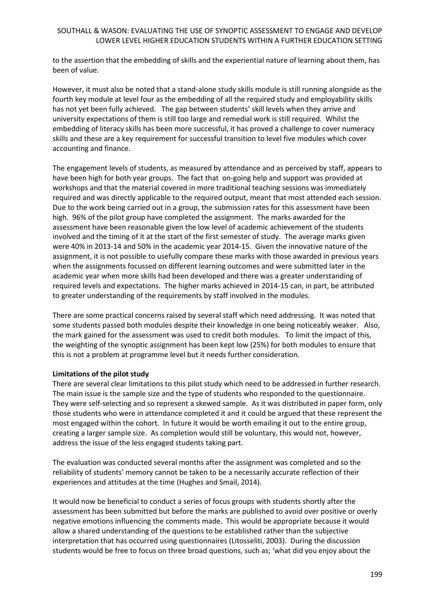to the assertion that the embedding of skills and the experiential nature of learning about them, has been of value.

However, it must also be noted that a stand-alone study skills module is still running alongside as the fourth key module at level four as the embedding of all the required study and employability skills has not yet been fully achieved. The gap between students' skill levels when they arrive and university expectations of them is still too large and remedial work is still required. Whilst the embedding of literacy skills has been more successful, it has proved a challenge to cover numeracy skills and these are a key requirement for successful transition to level five modules which cover accounting and finance.

The engagement levels of students, as measured by attendance and as perceived by staff, appears to have been high for both year groups. The fact that on-going help and support was provided at workshops and that the material covered in more traditional teaching sessions was immediately required and was directly applicable to the required output, meant that most attended each session. Due to the work being carried out in a group, the submission rates for this assessment have been high. 96% of the pilot group have completed the assignment. The marks awarded for the assessment have been reasonable given the low level of academic achievement of the students involved and the timing of it at the start of the first semester of study. The average marks given were 40% in 2013-14 and 50% in the academic year 2014-15. Given the innovative nature of the assignment, it is not possible to usefully compare these marks with those awarded in previous years when the assignments focussed on different learning outcomes and were submitted later in the academic year when more skills had been developed and there was a greater understanding of required levels and expectations. The higher marks achieved in 2014-15 can, in part, be attributed to greater understanding of the requirements by staff involved in the modules.

There are some practical concerns raised by several staff which need addressing. It was noted that some students passed both modules despite their knowledge in one being noticeably weaker. Also, the mark gained for the assessment was used to credit both modules. To limit the impact of this, the weighting of the synoptic assignment has been kept low (25%) for both modules to ensure that this is not a problem at programme level but it needs further consideration.

### **Limitations of the pilot study**

There are several clear limitations to this pilot study which need to be addressed in further research. The main issue is the sample size and the type of students who responded to the questionnaire. They were self-selecting and so represent a skewed sample. As it was distributed in paper form, only those students who were in attendance completed it and it could be argued that these represent the most engaged within the cohort. In future it would be worth emailing it out to the entire group, creating a larger sample size. As completion would still be voluntary, this would not, however, address the issue of the less engaged students taking part.

The evaluation was conducted several months after the assignment was completed and so the reliability of students' memory cannot be taken to be a necessarily accurate reflection of their experiences and attitudes at the time (Hughes and Smail, 2014).

It would now be beneficial to conduct a series of focus groups with students shortly after the assessment has been submitted but before the marks are published to avoid over positive or overly negative emotions influencing the comments made. This would be appropriate because it would allow a shared understanding of the questions to be established rather than the subjective interpretation that has occurred using questionnaires (Litosseliti, 2003). During the discussion students would be free to focus on three broad questions, such as; 'what did you enjoy about the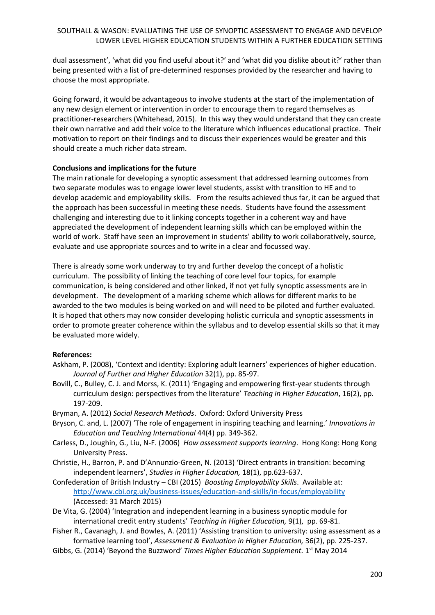dual assessment', 'what did you find useful about it?' and 'what did you dislike about it?' rather than being presented with a list of pre-determined responses provided by the researcher and having to choose the most appropriate.

Going forward, it would be advantageous to involve students at the start of the implementation of any new design element or intervention in order to encourage them to regard themselves as practitioner-researchers (Whitehead, 2015). In this way they would understand that they can create their own narrative and add their voice to the literature which influences educational practice. Their motivation to report on their findings and to discuss their experiences would be greater and this should create a much richer data stream.

## **Conclusions and implications for the future**

The main rationale for developing a synoptic assessment that addressed learning outcomes from two separate modules was to engage lower level students, assist with transition to HE and to develop academic and employability skills. From the results achieved thus far, it can be argued that the approach has been successful in meeting these needs. Students have found the assessment challenging and interesting due to it linking concepts together in a coherent way and have appreciated the development of independent learning skills which can be employed within the world of work. Staff have seen an improvement in students' ability to work collaboratively, source, evaluate and use appropriate sources and to write in a clear and focussed way.

There is already some work underway to try and further develop the concept of a holistic curriculum. The possibility of linking the teaching of core level four topics, for example communication, is being considered and other linked, if not yet fully synoptic assessments are in development. The development of a marking scheme which allows for different marks to be awarded to the two modules is being worked on and will need to be piloted and further evaluated. It is hoped that others may now consider developing holistic curricula and synoptic assessments in order to promote greater coherence within the syllabus and to develop essential skills so that it may be evaluated more widely.

# **References:**

- Askham, P. (2008), 'Context and identity: Exploring adult learners' experiences of higher education. *Journal of Further and Higher Education* 32(1), pp. 85-97.
- Bovill, C., Bulley, C. J. and Morss, K. (2011) 'Engaging and empowering first-year students through curriculum design: perspectives from the literature' *Teaching in Higher Education*, 16(2), pp. 197-209.
- Bryman, A. (2012) *Social Research Methods*. Oxford: Oxford University Press
- Bryson, C. and, L. (2007) 'The role of engagement in inspiring teaching and learning.' *Innovations in Education and Teaching International* 44(4) pp. 349-362.
- Carless, D., Joughin, G., Liu, N-F. (2006) *How assessment supports learning*. Hong Kong: Hong Kong University Press.
- Christie, H., Barron, P. and D'Annunzio-Green, N. (2013) 'Direct entrants in transition: becoming independent learners', *Studies in Higher Education,* 18(1), pp.623-637.
- Confederation of British Industry CBI (2015) *Boosting Employability Skills*. Available at: <http://www.cbi.org.uk/business-issues/education-and-skills/in-focus/employability> (Accessed: 31 March 2015)
- De Vita, G. (2004) 'Integration and independent learning in a business synoptic module for international credit entry students' *Teaching in Higher Education,* 9(1), pp. 69-81.
- Fisher R., Cavanagh, J. and Bowles, A. (2011) 'Assisting transition to university: using assessment as a formative learning tool', *Assessment & Evaluation in Higher Education,* 36(2), pp. 225-237.
- Gibbs, G. (2014) 'Beyond the Buzzword' Times Higher Education Supplement. 1<sup>st</sup> May 2014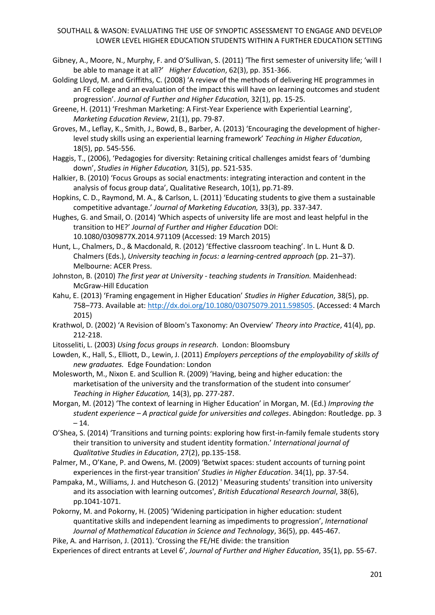- Gibney, A., Moore, N., Murphy, F. and O'Sullivan, S. (2011) 'The first semester of university life; 'will I be able to manage it at all?' *Higher Education*, 62(3), pp. 351-366.
- Golding Lloyd, M. and Griffiths, C. (2008) 'A review of the methods of delivering HE programmes in an FE college and an evaluation of the impact this will have on learning outcomes and student progression'. *Journal of Further and Higher Education,* 32(1), pp. 15-25.
- Greene, H. (2011) 'Freshman Marketing: A First-Year Experience with Experiential Learning', *Marketing Education Review*, 21(1), pp. 79-87.
- Groves, M., Leflay, K., Smith, J., Bowd, B., Barber, A. (2013) 'Encouraging the development of higherlevel study skills using an experiential learning framework' *Teaching in Higher Education*, 18(5), pp. 545-556.
- Haggis, T., (2006), 'Pedagogies for diversity: Retaining critical challenges amidst fears of 'dumbing down', *Studies in Higher Education,* 31(5), pp. 521-535.
- Halkier, B. (2010) 'Focus Groups as social enactments: integrating interaction and content in the analysis of focus group data', Qualitative Research, 10(1), pp.71-89.
- Hopkins, C. D., Raymond, M. A., & Carlson, L. (2011) 'Educating students to give them a sustainable competitive advantage.' *Journal of Marketing Education,* 33(3), pp. 337-347.
- Hughes, G. and Smail, O. (2014) 'Which aspects of university life are most and least helpful in the transition to HE?' *Journal of Further and Higher Education* DOI: 10.1080/0309877X.2014.971109 (Accessed: 19 March 2015)
- Hunt, L., Chalmers, D., & Macdonald, R. (2012) 'Effective classroom teaching'. In L. Hunt & D. Chalmers (Eds.), *University teaching in focus: a learning-centred approach* (pp. 21–37). Melbourne: ACER Press.
- Johnston, B. (2010) *The first year at University - teaching students in Transition.* Maidenhead: McGraw-Hill Education
- Kahu, E. (2013) 'Framing engagement in Higher Education' *Studies in Higher Education*, 38(5), pp. 758–773. Available at: [http://dx.doi.org/10.1080/03075079.2011.598505.](http://dx.doi.org/10.1080/03075079.2011.598505) (Accessed: 4 March 2015)
- Krathwol, D. (2002) 'A Revision of Bloom's Taxonomy: An Overview' *Theory into Practice*, 41(4), pp. 212-218.
- Litosseliti, L. (2003) *Using focus groups in research*. London: Bloomsbury
- Lowden, K., Hall, S., Elliott, D., Lewin, J. (2011) *Employers perceptions of the employability of skills of new graduates.* Edge Foundation: London
- Molesworth, M., Nixon E. and Scullion R. (2009) 'Having, being and higher education: the marketisation of the university and the transformation of the student into consumer' *Teaching in Higher Education,* 14(3), pp. 277-287.
- Morgan, M. (2012) 'The context of learning in Higher Education' in Morgan, M. (Ed.) *Improving the student experience – A practical guide for universities and colleges*. Abingdon: Routledge. pp. 3  $-14.$
- O'Shea, S. (2014) 'Transitions and turning points: exploring how first-in-family female students story their transition to university and student identity formation.' *International journal of Qualitative Studies in Education*, 27(2), pp.135-158.
- Palmer, M., O'Kane, P. and Owens, M. (2009) 'Betwixt spaces: student accounts of turning point experiences in the first-year transition' *Studies in Higher Education*. 34(1), pp. 37-54.
- Pampaka, M., Williams, J. and Hutcheson G. (2012) ' Measuring students' transition into university and its association with learning outcomes', *British Educational Research Journal*, 38(6), pp.1041-1071.
- Pokorny, M. and Pokorny, H. (2005) 'Widening participation in higher education: student quantitative skills and independent learning as impediments to progression', *International Journal of Mathematical Education in Science and Technology*, 36(5), pp. 445-467.
- Pike, A. and Harrison, J. (2011). 'Crossing the FE/HE divide: the transition Experiences of direct entrants at Level 6', *Journal of Further and Higher Education*, 35(1), pp. 55-67.